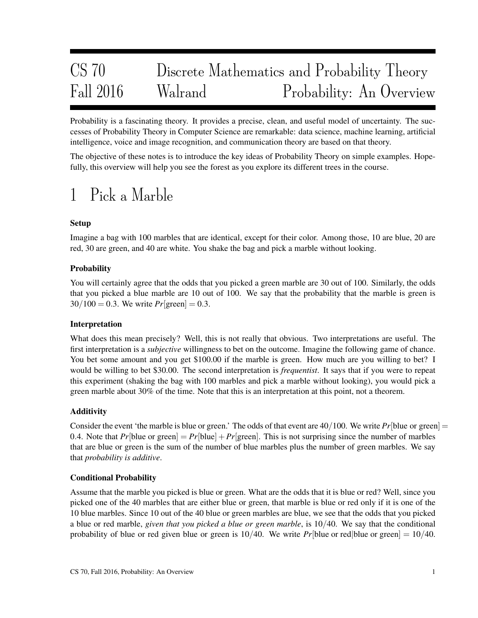# CS 70 Discrete Mathematics and Probability Theory Fall 2016 Walrand Probability: An Overview

Probability is a fascinating theory. It provides a precise, clean, and useful model of uncertainty. The successes of Probability Theory in Computer Science are remarkable: data science, machine learning, artificial intelligence, voice and image recognition, and communication theory are based on that theory.

The objective of these notes is to introduce the key ideas of Probability Theory on simple examples. Hopefully, this overview will help you see the forest as you explore its different trees in the course.

## 1 Pick a Marble

## Setup

Imagine a bag with 100 marbles that are identical, except for their color. Among those, 10 are blue, 20 are red, 30 are green, and 40 are white. You shake the bag and pick a marble without looking.

## **Probability**

You will certainly agree that the odds that you picked a green marble are 30 out of 100. Similarly, the odds that you picked a blue marble are 10 out of 100. We say that the probability that the marble is green is  $30/100 = 0.3$ . We write  $Pr[\text{green}] = 0.3$ .

## Interpretation

What does this mean precisely? Well, this is not really that obvious. Two interpretations are useful. The first interpretation is a *subjective* willingness to bet on the outcome. Imagine the following game of chance. You bet some amount and you get \$100.00 if the marble is green. How much are you willing to bet? I would be willing to bet \$30.00. The second interpretation is *frequentist*. It says that if you were to repeat this experiment (shaking the bag with 100 marbles and pick a marble without looking), you would pick a green marble about 30% of the time. Note that this is an interpretation at this point, not a theorem.

## **Additivity**

Consider the event 'the marble is blue or green.' The odds of that event are  $40/100$ . We write  $Pr[\text{blue or green}] =$ 0.4. Note that  $Pr[\text{blue or green}] = Pr[\text{blue}] + Pr[\text{green}]$ . This is not surprising since the number of marbles that are blue or green is the sum of the number of blue marbles plus the number of green marbles. We say that *probability is additive*.

## Conditional Probability

Assume that the marble you picked is blue or green. What are the odds that it is blue or red? Well, since you picked one of the 40 marbles that are either blue or green, that marble is blue or red only if it is one of the 10 blue marbles. Since 10 out of the 40 blue or green marbles are blue, we see that the odds that you picked a blue or red marble, *given that you picked a blue or green marble*, is 10/40. We say that the conditional probability of blue or red given blue or green is  $10/40$ . We write *Pr*[blue or red|blue or green] =  $10/40$ .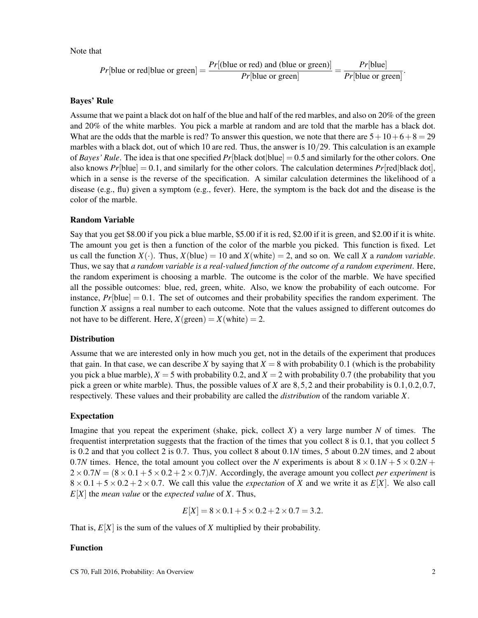Note that

$$
Pr[\text{blue or red}|\text{blue or green}] = \frac{Pr[(\text{blue or red}) \text{ and } (\text{blue or green})]}{Pr[\text{blue or green}]} = \frac{Pr[\text{blue}]}{Pr[\text{blue or green}]}.
$$

#### Bayes' Rule

Assume that we paint a black dot on half of the blue and half of the red marbles, and also on 20% of the green and 20% of the white marbles. You pick a marble at random and are told that the marble has a black dot. What are the odds that the marble is red? To answer this question, we note that there are  $5+10+6+8=29$ marbles with a black dot, out of which 10 are red. Thus, the answer is 10/29. This calculation is an example of *Bayes' Rule*. The idea is that one specified  $Pr[\text{black dot}]\text{blue}] = 0.5$  and similarly for the other colors. One also knows  $Pr[\text{blue}] = 0.1$ , and similarly for the other colors. The calculation determines  $Pr[\text{red}]$  black dot], which in a sense is the reverse of the specification. A similar calculation determines the likelihood of a disease (e.g., flu) given a symptom (e.g., fever). Here, the symptom is the back dot and the disease is the color of the marble.

#### Random Variable

Say that you get \$8.00 if you pick a blue marble, \$5.00 if it is red, \$2.00 if it is green, and \$2.00 if it is white. The amount you get is then a function of the color of the marble you picked. This function is fixed. Let us call the function  $X(\cdot)$ . Thus,  $X(\text{blue}) = 10$  and  $X(\text{white}) = 2$ , and so on. We call X a *random variable*. Thus, we say that *a random variable is a real-valued function of the outcome of a random experiment*. Here, the random experiment is choosing a marble. The outcome is the color of the marble. We have specified all the possible outcomes: blue, red, green, white. Also, we know the probability of each outcome. For instance,  $Pr[\text{blue}] = 0.1$ . The set of outcomes and their probability specifies the random experiment. The function *X* assigns a real number to each outcome. Note that the values assigned to different outcomes do not have to be different. Here,  $X(\text{green}) = X(\text{white}) = 2$ .

### **Distribution**

Assume that we are interested only in how much you get, not in the details of the experiment that produces that gain. In that case, we can describe *X* by saying that  $X = 8$  with probability 0.1 (which is the probability you pick a blue marble),  $X = 5$  with probability 0.2, and  $X = 2$  with probability 0.7 (the probability that you pick a green or white marble). Thus, the possible values of *X* are 8,5,2 and their probability is 0.1,0.2,0.7, respectively. These values and their probability are called the *distribution* of the random variable *X*.

#### Expectation

Imagine that you repeat the experiment (shake, pick, collect  $X$ ) a very large number  $N$  of times. The frequentist interpretation suggests that the fraction of the times that you collect 8 is 0.1, that you collect 5 is 0.2 and that you collect 2 is 0.7. Thus, you collect 8 about 0.1*N* times, 5 about 0.2*N* times, and 2 about 0.7*N* times. Hence, the total amount you collect over the *N* experiments is about  $8 \times 0.1N + 5 \times 0.2N +$  $2 \times 0.7N = (8 \times 0.1 + 5 \times 0.2 + 2 \times 0.7)N$ . Accordingly, the average amount you collect *per experiment* is  $8 \times 0.1 + 5 \times 0.2 + 2 \times 0.7$ . We call this value the *expectation* of *X* and we write it as  $E[X]$ . We also call *E*[*X*] the *mean value* or the *expected value* of *X*. Thus,

$$
E[X] = 8 \times 0.1 + 5 \times 0.2 + 2 \times 0.7 = 3.2.
$$

That is,  $E[X]$  is the sum of the values of *X* multiplied by their probability.

#### Function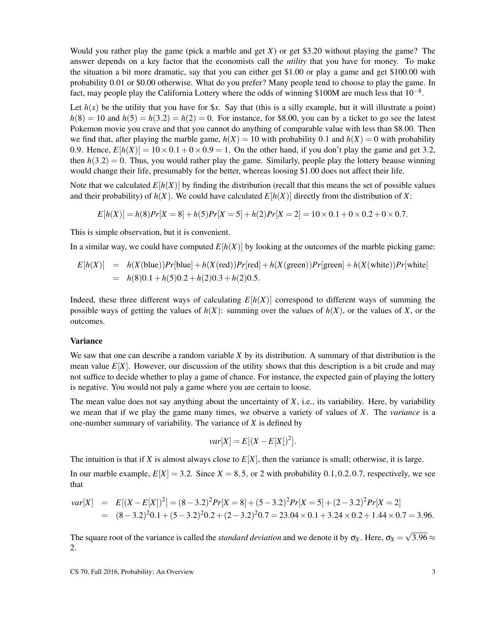Would you rather play the game (pick a marble and get *X*) or get \$3.20 without playing the game? The answer depends on a key factor that the economists call the *utility* that you have for money. To make the situation a bit more dramatic, say that you can either get \$1.00 or play a game and get \$100.00 with probability 0.01 or \$0.00 otherwise. What do you prefer? Many people tend to choose to play the game. In fact, may people play the California Lottery where the odds of winning \$100M are much less that  $10^{-8}$ .

Let  $h(x)$  be the utility that you have for  $x$ . Say that (this is a silly example, but it will illustrate a point)  $h(8) = 10$  and  $h(5) = h(3.2) = h(2) = 0$ . For instance, for \$8.00, you can by a ticket to go see the latest Pokemon movie you crave and that you cannot do anything of comparable value with less than \$8.00. Then we find that, after playing the marble game,  $h(X) = 10$  with probability 0.1 and  $h(X) = 0$  with probability 0.9. Hence,  $E[h(X)] = 10 \times 0.1 + 0 \times 0.9 = 1$ . On the other hand, if you don't play the game and get 3.2, then  $h(3.2) = 0$ . Thus, you would rather play the game. Similarly, people play the lottery beause winning would change their life, presumably for the better, whereas loosing \$1.00 does not affect their life.

Note that we calculated  $E[h(X)]$  by finding the distribution (recall that this means the set of possible values and their probability) of  $h(X)$ . We could have calculated  $E[h(X)]$  directly from the distribution of X:

$$
E[h(X)] = h(8)Pr[X = 8] + h(5)Pr[X = 5] + h(2)Pr[X = 2] = 10 \times 0.1 + 0 \times 0.2 + 0 \times 0.7.
$$

This is simple observation, but it is convenient.

In a similar way, we could have computed  $E[h(X)]$  by looking at the outcomes of the marble picking game:

$$
E[h(X)] = h(X(blue))Pr[blue] + h(X(\text{red}))Pr[\text{red}] + h(X(\text{green}))Pr[\text{green}] + h(X(\text{white}))Pr[\text{white}]
$$
  
=  $h(8)0.1 + h(5)0.2 + h(2)0.3 + h(2)0.5$ .

Indeed, these three different ways of calculating  $E[h(X)]$  correspond to different ways of summing the possible ways of getting the values of  $h(X)$ : summing over the values of  $h(X)$ , or the values of X, or the outcomes.

#### Variance

We saw that one can describe a random variable *X* by its distribution. A summary of that distribution is the mean value  $E[X]$ . However, our discussion of the utility shows that this description is a bit crude and may not suffice to decide whether to play a game of chance. For instance, the expected gain of playing the lottery is negative. You would not paly a game where you are certain to loose.

The mean value does not say anything about the uncertainty of *X*, i.e., its variability. Here, by variability we mean that if we play the game many times, we observe a variety of values of *X*. The *variance* is a one-number summary of variability. The variance of *X* is defined by

$$
var[X] = E[(X - E[X])^2].
$$

The intuition is that if *X* is almost always close to  $E[X]$ , then the variance is small; otherwise, it is large.

In our marble example,  $E[X] = 3.2$ . Since  $X = 8.5$ , or 2 with probability 0.1,0.2,0.7, respectively, we see that

$$
var[X] = E[(X - E[X])^2] = (8 - 3.2)^2 Pr[X = 8] + (5 - 3.2)^2 Pr[X = 5] + (2 - 3.2)^2 Pr[X = 2]
$$
  
= (8 - 3.2)^2 0.1 + (5 - 3.2)^2 0.2 + (2 - 3.2)^2 0.7 = 23.04 × 0.1 + 3.24 × 0.2 + 1.44 × 0.7 = 3.96.

The square root of the variance is called the *standard deviation* and we denote it by  $\sigma_X$ . Here,  $\sigma_X$  = √ 3.96  $\approx$ 2.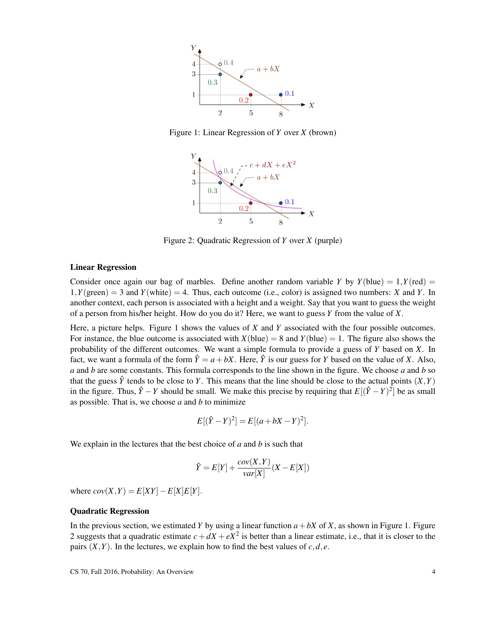

Figure 1: Linear Regression of *Y* over *X* (brown)



Figure 2: Quadratic Regression of *Y* over *X* (purple)

#### Linear Regression

Consider once again our bag of marbles. Define another random variable *Y* by  $Y(\text{blue}) = 1, Y(\text{red}) = 1$  $1, Y(\text{green}) = 3$  and  $Y(\text{white}) = 4$ . Thus, each outcome (i.e., color) is assigned two numbers: *X* and *Y*. In another context, each person is associated with a height and a weight. Say that you want to guess the weight of a person from his/her height. How do you do it? Here, we want to guess *Y* from the value of *X*.

Here, a picture helps. Figure 1 shows the values of *X* and *Y* associated with the four possible outcomes. For instance, the blue outcome is associated with  $X(blue) = 8$  and  $Y(blue) = 1$ . The figure also shows the probability of the different outcomes. We want a simple formula to provide a guess of *Y* based on *X*. In fact, we want a formula of the form  $\hat{Y} = a + bX$ . Here,  $\hat{Y}$  is our guess for *Y* based on the value of *X*. Also, *a* and *b* are some constants. This formula corresponds to the line shown in the figure. We choose *a* and *b* so that the guess  $\hat{Y}$  tends to be close to *Y*. This means that the line should be close to the actual points  $(X,Y)$ in the figure. Thus,  $\hat{Y} - Y$  should be small. We make this precise by requiring that  $E[(\hat{Y} - Y)^2]$  be as small as possible. That is, we choose *a* and *b* to minimize

$$
E[(\hat{Y} - Y)^{2}] = E[(a + bX - Y)^{2}].
$$

We explain in the lectures that the best choice of *a* and *b* is such that

$$
\hat{Y} = E[Y] + \frac{cov(X, Y)}{var[X]}(X - E[X])
$$

where  $cov(X, Y) = E[XY] - E[X]E[Y]$ .

#### Quadratic Regression

In the previous section, we estimated *Y* by using a linear function  $a + bX$  of *X*, as shown in Figure 1. Figure 2 suggests that a quadratic estimate  $c + dX + eX^2$  is better than a linear estimate, i.e., that it is closer to the pairs  $(X, Y)$ . In the lectures, we explain how to find the best values of  $c, d, e$ .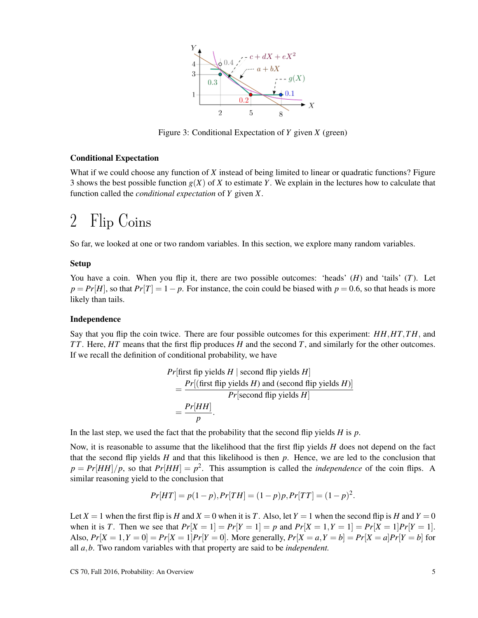

Figure 3: Conditional Expectation of *Y* given *X* (green)

#### Conditional Expectation

What if we could choose any function of *X* instead of being limited to linear or quadratic functions? Figure 3 shows the best possible function  $g(X)$  of X to estimate Y. We explain in the lectures how to calculate that function called the *conditional expectation* of *Y* given *X*.

## 2 Flip Coins

So far, we looked at one or two random variables. In this section, we explore many random variables.

#### Setup

You have a coin. When you flip it, there are two possible outcomes: 'heads' (*H*) and 'tails' (*T*). Let  $p = Pr[H]$ , so that  $Pr[T] = 1 - p$ . For instance, the coin could be biased with  $p = 0.6$ , so that heads is more likely than tails.

#### Independence

Say that you flip the coin twice. There are four possible outcomes for this experiment: *HH*,*HT*,*T H*, and *T T*. Here, *HT* means that the first flip produces *H* and the second *T*, and similarly for the other outcomes. If we recall the definition of conditional probability, we have

$$
Pr[\text{first flip yields } H \mid \text{second flip yields } H]
$$
  
= 
$$
\frac{Pr[(\text{first flip yields } H) \text{ and (second flip yields } H)]}{Pr[\text{second flip yields } H]}
$$
  
= 
$$
\frac{Pr[HH]}{p}.
$$

In the last step, we used the fact that the probability that the second flip yields *H* is *p*.

Now, it is reasonable to assume that the likelihood that the first flip yields *H* does not depend on the fact that the second flip yields *H* and that this likelihood is then *p*. Hence, we are led to the conclusion that  $p = Pr[HH]/p$ , so that  $Pr[HH] = p^2$ . This assumption is called the *independence* of the coin flips. A similar reasoning yield to the conclusion that

$$
Pr[HT] = p(1-p), Pr[TH] = (1-p)p, Pr[TT] = (1-p)^2.
$$

Let  $X = 1$  when the first flip is *H* and  $X = 0$  when it is *T*. Also, let  $Y = 1$  when the second flip is *H* and  $Y = 0$ when it is *T*. Then we see that  $Pr[X = 1] = Pr[Y = 1] = p$  and  $Pr[X = 1, Y = 1] = Pr[X = 1]Pr[Y = 1]$ . Also,  $Pr[X = 1, Y = 0] = Pr[X = 1]Pr[Y = 0]$ . More generally,  $Pr[X = a, Y = b] = Pr[X = a]Pr[Y = b]$  for all *a*,*b*. Two random variables with that property are said to be *independent.*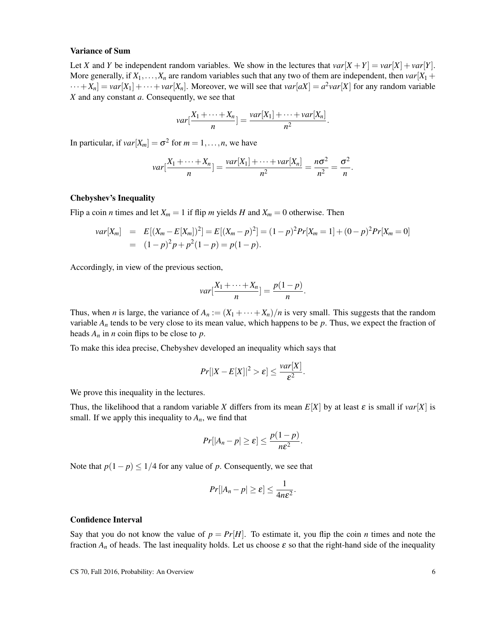#### Variance of Sum

Let *X* and *Y* be independent random variables. We show in the lectures that  $var[X + Y] = var[X] + var[Y]$ . More generally, if  $X_1, \ldots, X_n$  are random variables such that any two of them are independent, then  $var[X_1 +$  $\cdots + X_n$  =  $var[X_1] + \cdots + var[X_n]$ . Moreover, we will see that  $var[aX] = a^2var[X]$  for any random variable *X* and any constant *a*. Consequently, we see that

$$
var[\frac{X_1 + \cdots + X_n}{n}] = \frac{var[X_1] + \cdots + var[X_n]}{n^2}.
$$

In particular, if  $var[X_m] = \sigma^2$  for  $m = 1, \ldots, n$ , we have

$$
var[\frac{X_1+\cdots+X_n}{n}]=\frac{var[X_1]+\cdots+var[X_n]}{n^2}=\frac{n\sigma^2}{n^2}=\frac{\sigma^2}{n}.
$$

#### Chebyshev's Inequality

Flip a coin *n* times and let  $X_m = 1$  if flip *m* yields *H* and  $X_m = 0$  otherwise. Then

$$
var[X_m] = E[(X_m - E[X_m])^2] = E[(X_m - p)^2] = (1 - p)^2 Pr[X_m = 1] + (0 - p)^2 Pr[X_m = 0]
$$
  
=  $(1 - p)^2 p + p^2 (1 - p) = p(1 - p).$ 

Accordingly, in view of the previous section,

$$
var[\frac{X_1 + \dots + X_n}{n}] = \frac{p(1-p)}{n}.
$$

Thus, when *n* is large, the variance of  $A_n := (X_1 + \cdots + X_n)/n$  is very small. This suggests that the random variable  $A_n$  tends to be very close to its mean value, which happens to be  $p$ . Thus, we expect the fraction of heads  $A_n$  in *n* coin flips to be close to *p*.

To make this idea precise, Chebyshev developed an inequality which says that

$$
Pr[|X - E[X]|^2 > \varepsilon] \le \frac{var[X]}{\varepsilon^2}.
$$

We prove this inequality in the lectures.

Thus, the likelihood that a random variable *X* differs from its mean  $E[X]$  by at least  $\varepsilon$  is small if  $var[X]$  is small. If we apply this inequality to  $A_n$ , we find that

$$
Pr[|A_n-p|\geq \varepsilon]\leq \frac{p(1-p)}{n\varepsilon^2}.
$$

Note that  $p(1-p) \leq 1/4$  for any value of *p*. Consequently, we see that

$$
Pr[|A_n-p|\geq \varepsilon]\leq \frac{1}{4n\varepsilon^2}.
$$

### Confidence Interval

Say that you do not know the value of  $p = Pr[H]$ . To estimate it, you flip the coin *n* times and note the fraction  $A_n$  of heads. The last inequality holds. Let us choose  $\varepsilon$  so that the right-hand side of the inequality